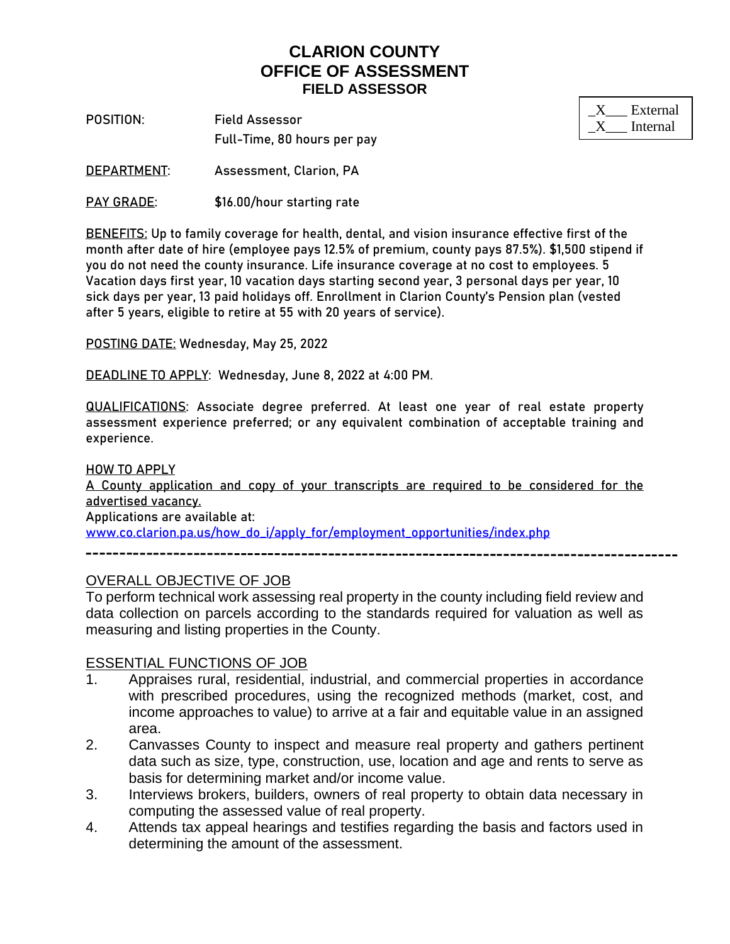**POSITION**: **Field Assessor**  Full-Time, 80 hours per pay

| External |
|----------|
| Internal |

- **DEPARTMENT**: Assessment, Clarion, PA
- **PAY GRADE:** \$16.00/hour starting rate

**BENEFITS:** Up to family coverage for health, dental, and vision insurance effective first of the month after date of hire (employee pays 12.5% of premium, county pays 87.5%). \$1,500 stipend if you do not need the county insurance. Life insurance coverage at no cost to employees. 5 Vacation days first year, 10 vacation days starting second year, 3 personal days per year, 10 sick days per year, 13 paid holidays off. Enrollment in Clarion County's Pension plan (vested after 5 years, eligible to retire at 55 with 20 years of service).

**POSTING DATE:** Wednesday, May 25, 2022

**DEADLINE TO APPLY:** Wednesday, June 8, 2022 at 4:00 PM.

**QUALIFICATIONS:** Associate degree preferred. At least one year of real estate property assessment experience preferred; or any equivalent combination of acceptable training and experience.

#### **HOW TO APPLY**

A County application and copy of your transcripts are required to be considered for the advertised vacancy.

Applications are available at:

[www.co.clarion.pa.us/how\\_do\\_i/apply\\_for/employment\\_opportunities/index.php](http://www.co.clarion.pa.us/how_do_i/apply_for/employment_opportunities/index.php)

### OVERALL OBJECTIVE OF JOB

To perform technical work assessing real property in the county including field review and data collection on parcels according to the standards required for valuation as well as measuring and listing properties in the County.

### ESSENTIAL FUNCTIONS OF JOB

- 1. Appraises rural, residential, industrial, and commercial properties in accordance with prescribed procedures, using the recognized methods (market, cost, and income approaches to value) to arrive at a fair and equitable value in an assigned area.
- 2. Canvasses County to inspect and measure real property and gathers pertinent data such as size, type, construction, use, location and age and rents to serve as basis for determining market and/or income value.
- 3. Interviews brokers, builders, owners of real property to obtain data necessary in computing the assessed value of real property.
- 4. Attends tax appeal hearings and testifies regarding the basis and factors used in determining the amount of the assessment.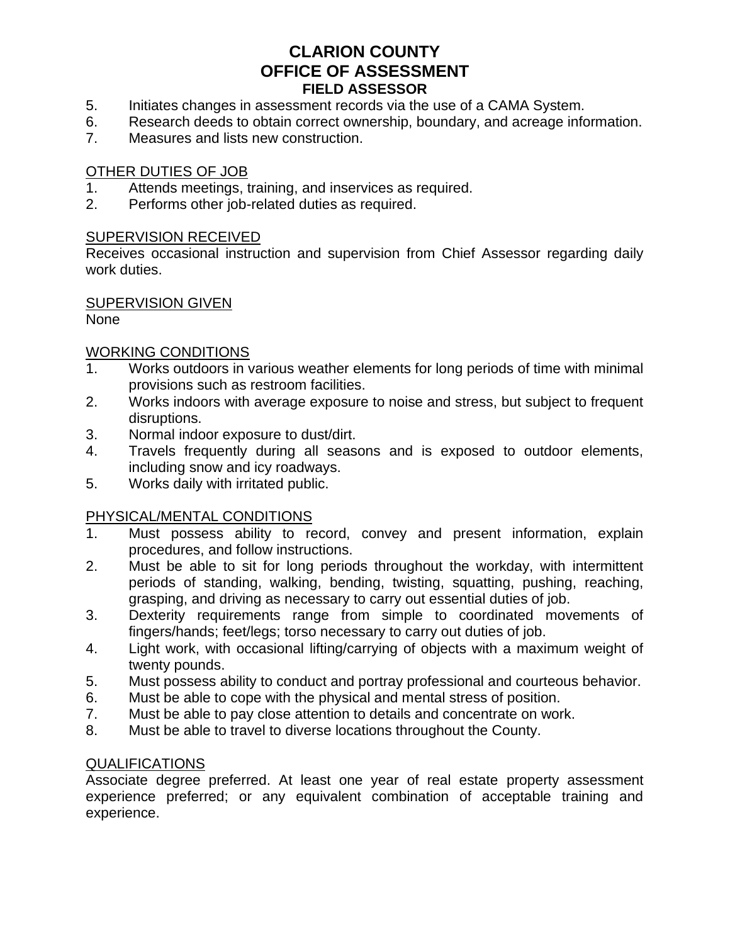- 5. Initiates changes in assessment records via the use of a CAMA System.
- 6. Research deeds to obtain correct ownership, boundary, and acreage information.
- 7. Measures and lists new construction.

### OTHER DUTIES OF JOB

- 1. Attends meetings, training, and inservices as required.
- 2. Performs other job-related duties as required.

#### SUPERVISION RECEIVED

Receives occasional instruction and supervision from Chief Assessor regarding daily work duties.

#### SUPERVISION GIVEN

None

### WORKING CONDITIONS

- 1. Works outdoors in various weather elements for long periods of time with minimal provisions such as restroom facilities.
- 2. Works indoors with average exposure to noise and stress, but subject to frequent disruptions.
- 3. Normal indoor exposure to dust/dirt.
- 4. Travels frequently during all seasons and is exposed to outdoor elements, including snow and icy roadways.
- 5. Works daily with irritated public.

### PHYSICAL/MENTAL CONDITIONS

- 1. Must possess ability to record, convey and present information, explain procedures, and follow instructions.
- 2. Must be able to sit for long periods throughout the workday, with intermittent periods of standing, walking, bending, twisting, squatting, pushing, reaching, grasping, and driving as necessary to carry out essential duties of job.
- 3. Dexterity requirements range from simple to coordinated movements of fingers/hands; feet/legs; torso necessary to carry out duties of job.
- 4. Light work, with occasional lifting/carrying of objects with a maximum weight of twenty pounds.
- 5. Must possess ability to conduct and portray professional and courteous behavior.
- 6. Must be able to cope with the physical and mental stress of position.
- 7. Must be able to pay close attention to details and concentrate on work.
- 8. Must be able to travel to diverse locations throughout the County.

#### QUALIFICATIONS

Associate degree preferred. At least one year of real estate property assessment experience preferred; or any equivalent combination of acceptable training and experience.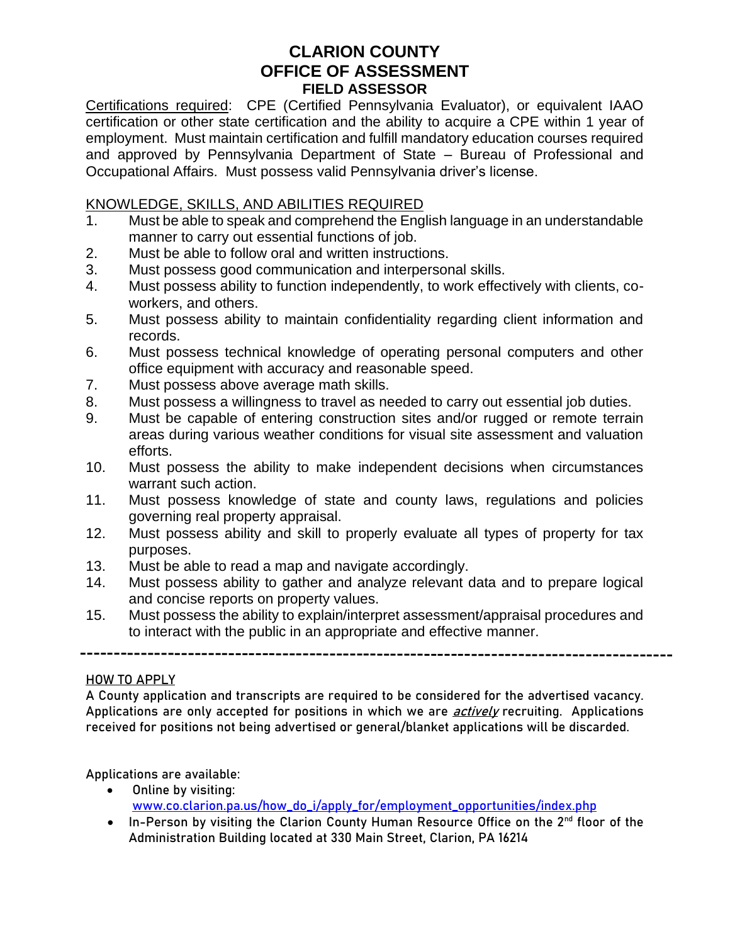Certifications required: CPE (Certified Pennsylvania Evaluator), or equivalent IAAO certification or other state certification and the ability to acquire a CPE within 1 year of employment. Must maintain certification and fulfill mandatory education courses required and approved by Pennsylvania Department of State – Bureau of Professional and Occupational Affairs. Must possess valid Pennsylvania driver's license.

### KNOWLEDGE, SKILLS, AND ABILITIES REQUIRED

- 1. Must be able to speak and comprehend the English language in an understandable manner to carry out essential functions of job.
- 2. Must be able to follow oral and written instructions.
- 3. Must possess good communication and interpersonal skills.
- 4. Must possess ability to function independently, to work effectively with clients, coworkers, and others.
- 5. Must possess ability to maintain confidentiality regarding client information and records.
- 6. Must possess technical knowledge of operating personal computers and other office equipment with accuracy and reasonable speed.
- 7. Must possess above average math skills.
- 8. Must possess a willingness to travel as needed to carry out essential job duties.
- 9. Must be capable of entering construction sites and/or rugged or remote terrain areas during various weather conditions for visual site assessment and valuation efforts.
- 10. Must possess the ability to make independent decisions when circumstances warrant such action.
- 11. Must possess knowledge of state and county laws, regulations and policies governing real property appraisal.
- 12. Must possess ability and skill to properly evaluate all types of property for tax purposes.
- 13. Must be able to read a map and navigate accordingly.
- 14. Must possess ability to gather and analyze relevant data and to prepare logical and concise reports on property values.
- 15. Must possess the ability to explain/interpret assessment/appraisal procedures and to interact with the public in an appropriate and effective manner.

### **HOW TO APPLY**

A County application and transcripts are required to be considered for the advertised vacancy. Applications are only accepted for positions in which we are *actively* recruiting. Applications received for positions not being advertised or general/blanket applications will be discarded.

Applications are available:

- Online by visiting: [www.co.clarion.pa.us/how\\_do\\_i/apply\\_for/employment\\_opportunities/index.php](http://www.co.clarion.pa.us/how_do_i/apply_for/employment_opportunities/index.php)
- In-Person by visiting the Clarion County Human Resource Office on the 2<sup>nd</sup> floor of the Administration Building located at 330 Main Street, Clarion, PA 16214